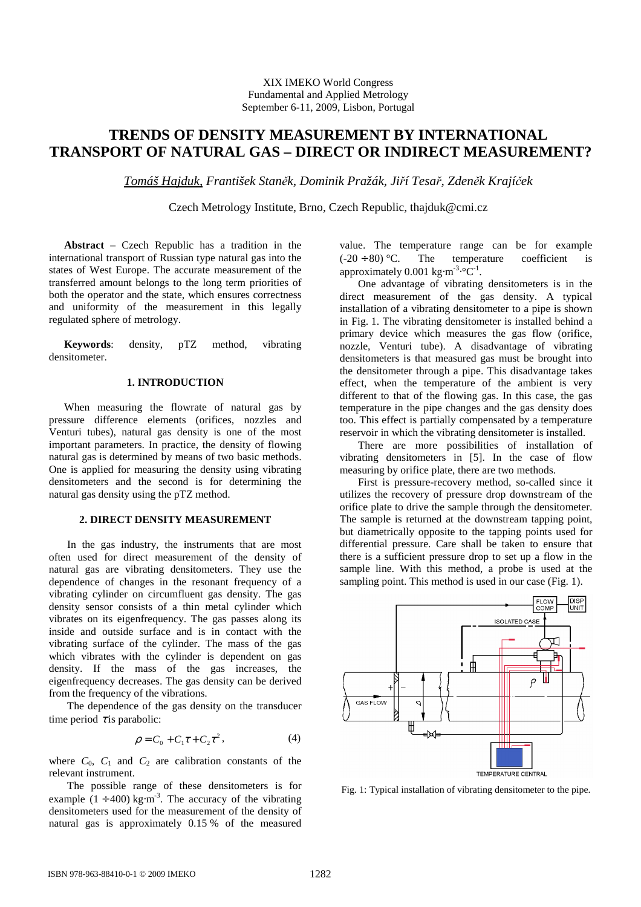XIX IMEKO World Congress Fundamental and Applied Metrology September 6-11, 2009, Lisbon, Portugal

# **TRENDS OF DENSITY MEASUREMENT BY INTERNATIONAL TRANSPORT OF NATURAL GAS – DIRECT OR INDIRECT MEASUREMENT?**

*Tomáš Hajduk, František Stan*ě*k, Dominik Pražák, Ji*ř*í Tesa*ř*, Zden*ě*k Krají*č*ek*

Czech Metrology Institute, Brno, Czech Republic, thajduk@cmi.cz

**Abstract** – Czech Republic has a tradition in the international transport of Russian type natural gas into the states of West Europe. The accurate measurement of the transferred amount belongs to the long term priorities of both the operator and the state, which ensures correctness and uniformity of the measurement in this legally regulated sphere of metrology.

**Keywords**: density, pTZ method, vibrating densitometer.

## **1. INTRODUCTION**

When measuring the flowrate of natural gas by pressure difference elements (orifices, nozzles and Venturi tubes), natural gas density is one of the most important parameters. In practice, the density of flowing natural gas is determined by means of two basic methods. One is applied for measuring the density using vibrating densitometers and the second is for determining the natural gas density using the pTZ method.

#### **2. DIRECT DENSITY MEASUREMENT**

In the gas industry, the instruments that are most often used for direct measurement of the density of natural gas are vibrating densitometers. They use the dependence of changes in the resonant frequency of a vibrating cylinder on circumfluent gas density. The gas density sensor consists of a thin metal cylinder which vibrates on its eigenfrequency. The gas passes along its inside and outside surface and is in contact with the vibrating surface of the cylinder. The mass of the gas which vibrates with the cylinder is dependent on gas density. If the mass of the gas increases, the eigenfrequency decreases. The gas density can be derived from the frequency of the vibrations.

The dependence of the gas density on the transducer time period  $\tau$  is parabolic:

$$
\rho = C_0 + C_1 \tau + C_2 \tau^2, \tag{4}
$$

where  $C_0$ ,  $C_1$  and  $C_2$  are calibration constants of the relevant instrument.

The possible range of these densitometers is for example  $(1 \div 400)$  kg⋅m<sup>-3</sup>. The accuracy of the vibrating densitometers used for the measurement of the density of natural gas is approximately 0.15 % of the measured

value. The temperature range can be for example  $(-20 \div 80)$  °C. The temperature coefficient is approximately  $0.001 \text{ kg} \cdot \text{m}^{-3} \cdot \text{°C}^{-1}$ .

One advantage of vibrating densitometers is in the direct measurement of the gas density. A typical installation of a vibrating densitometer to a pipe is shown in Fig. 1. The vibrating densitometer is installed behind a primary device which measures the gas flow (orifice, nozzle, Venturi tube). A disadvantage of vibrating densitometers is that measured gas must be brought into the densitometer through a pipe. This disadvantage takes effect, when the temperature of the ambient is very different to that of the flowing gas. In this case, the gas temperature in the pipe changes and the gas density does too. This effect is partially compensated by a temperature reservoir in which the vibrating densitometer is installed.

There are more possibilities of installation of vibrating densitometers in [5]. In the case of flow measuring by orifice plate, there are two methods.

First is pressure-recovery method, so-called since it utilizes the recovery of pressure drop downstream of the orifice plate to drive the sample through the densitometer. The sample is returned at the downstream tapping point, but diametrically opposite to the tapping points used for differential pressure. Care shall be taken to ensure that there is a sufficient pressure drop to set up a flow in the sample line. With this method, a probe is used at the sampling point. This method is used in our case (Fig. 1).



Fig. 1: Typical installation of vibrating densitometer to the pipe.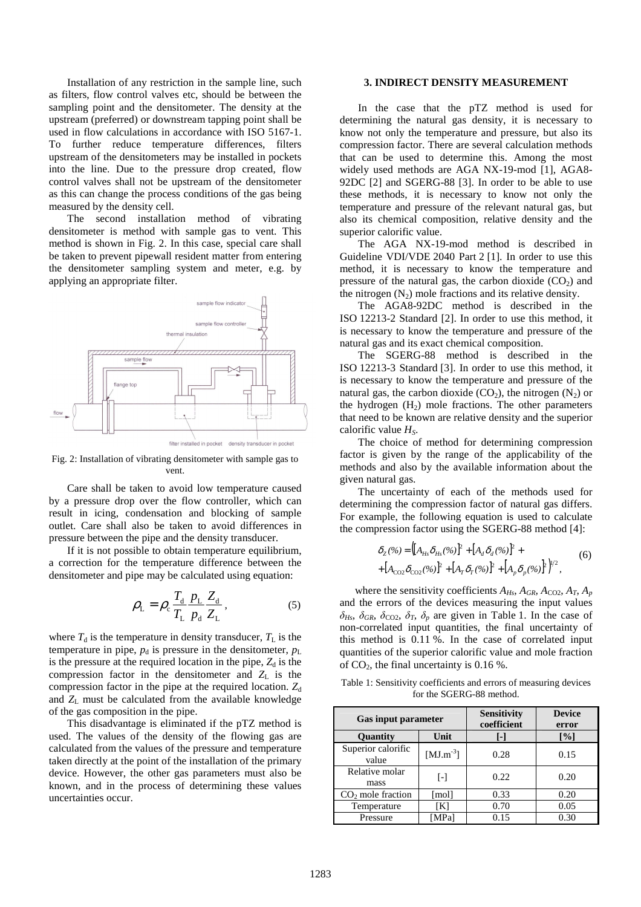Installation of any restriction in the sample line, such as filters, flow control valves etc, should be between the sampling point and the densitometer. The density at the upstream (preferred) or downstream tapping point shall be used in flow calculations in accordance with ISO 5167-1. To further reduce temperature differences, filters upstream of the densitometers may be installed in pockets into the line. Due to the pressure drop created, flow control valves shall not be upstream of the densitometer as this can change the process conditions of the gas being measured by the density cell.

The second installation method of vibrating densitometer is method with sample gas to vent. This method is shown in Fig. 2. In this case, special care shall be taken to prevent pipewall resident matter from entering the densitometer sampling system and meter, e.g. by applying an appropriate filter.



Fig. 2: Installation of vibrating densitometer with sample gas to vent.

Care shall be taken to avoid low temperature caused by a pressure drop over the flow controller, which can result in icing, condensation and blocking of sample outlet. Care shall also be taken to avoid differences in pressure between the pipe and the density transducer.

If it is not possible to obtain temperature equilibrium, a correction for the temperature difference between the densitometer and pipe may be calculated using equation:

$$
\rho_{\rm L} = \rho_{\rm c} \frac{T_{\rm d}}{T_{\rm L}} \frac{p_{\rm L}}{p_{\rm d}} \frac{Z_{\rm d}}{Z_{\rm L}},\tag{5}
$$

where  $T_d$  is the temperature in density transducer,  $T_L$  is the temperature in pipe,  $p_d$  is pressure in the densitometer,  $p_L$ is the pressure at the required location in the pipe,  $Z_d$  is the compression factor in the densitometer and  $Z_L$  is the compression factor in the pipe at the required location. Z<sub>d</sub> and *Z*L must be calculated from the available knowledge of the gas composition in the pipe.

This disadvantage is eliminated if the pTZ method is used. The values of the density of the flowing gas are calculated from the values of the pressure and temperature taken directly at the point of the installation of the primary device. However, the other gas parameters must also be known, and in the process of determining these values uncertainties occur.

### **3. INDIRECT DENSITY MEASUREMENT**

In the case that the pTZ method is used for determining the natural gas density, it is necessary to know not only the temperature and pressure, but also its compression factor. There are several calculation methods that can be used to determine this. Among the most widely used methods are AGA NX-19-mod [1], AGA8- 92DC [2] and SGERG-88 [3]. In order to be able to use these methods, it is necessary to know not only the temperature and pressure of the relevant natural gas, but also its chemical composition, relative density and the superior calorific value.

The AGA NX-19-mod method is described in Guideline VDI/VDE 2040 Part 2 [1]. In order to use this method, it is necessary to know the temperature and pressure of the natural gas, the carbon dioxide  $(CO<sub>2</sub>)$  and the nitrogen  $(N_2)$  mole fractions and its relative density.

The AGA8-92DC method is described in the ISO 12213-2 Standard [2]. In order to use this method, it is necessary to know the temperature and pressure of the natural gas and its exact chemical composition.

The SGERG-88 method is described in the ISO 12213-3 Standard [3]. In order to use this method, it is necessary to know the temperature and pressure of the natural gas, the carbon dioxide  $(CO<sub>2</sub>)$ , the nitrogen  $(N<sub>2</sub>)$  or the hydrogen  $(H<sub>2</sub>)$  mole fractions. The other parameters that need to be known are relative density and the superior calorific value *HS*.

The choice of method for determining compression factor is given by the range of the applicability of the methods and also by the available information about the given natural gas.

The uncertainty of each of the methods used for determining the compression factor of natural gas differs. For example, the following equation is used to calculate the compression factor using the SGERG-88 method [4]:

$$
\delta_Z(\%) = \left[ \left[ A_{Hs} \delta_{Hs}(\%) \right]^2 + \left[ A_d \delta_d(\%) \right]^2 + \\ + \left[ A_{\text{CO2}} \delta_{\text{CO2}}(\%) \right]^2 + \left[ A_T \delta_T(\%) \right]^2 + \left[ A_p \delta_p(\%) \right]^2 \right)^{1/2}, \tag{6}
$$

where the sensitivity coefficients  $A_{Hs}$ ,  $A_{GR}$ ,  $A_{CO2}$ ,  $A_T$ ,  $A_p$ and the errors of the devices measuring the input values  $\delta_{Hs}$ ,  $\delta_{GR}$ ,  $\delta_{CO2}$ ,  $\delta_T$ ,  $\delta_p$  are given in Table 1. In the case of non-correlated input quantities, the final uncertainty of this method is 0.11 %. In the case of correlated input quantities of the superior calorific value and mole fraction of  $CO<sub>2</sub>$ , the final uncertainty is 0.16 %.

| Table 1: Sensitivity coefficients and errors of measuring devices |
|-------------------------------------------------------------------|
| for the SGERG-88 method.                                          |

| <b>Gas input parameter</b>  |                 | <b>Sensitivity</b><br>coefficient | <b>Device</b><br>error |
|-----------------------------|-----------------|-----------------------------------|------------------------|
| Quantity                    | Unit            | $\overline{\phantom{a}}$          | [%]                    |
| Superior calorific<br>value | [ $MJ.m^{-3}$ ] | 0.28                              | 0.15                   |
| Relative molar<br>mass      | L-1             | 0.22                              | 0.20                   |
| $CO2$ mole fraction         | [mol]           | 0.33                              | 0.20                   |
| Temperature                 | [K]             | 0.70                              | 0.05                   |
| Pressure                    | [MPa]           | 0.15                              | 0.30                   |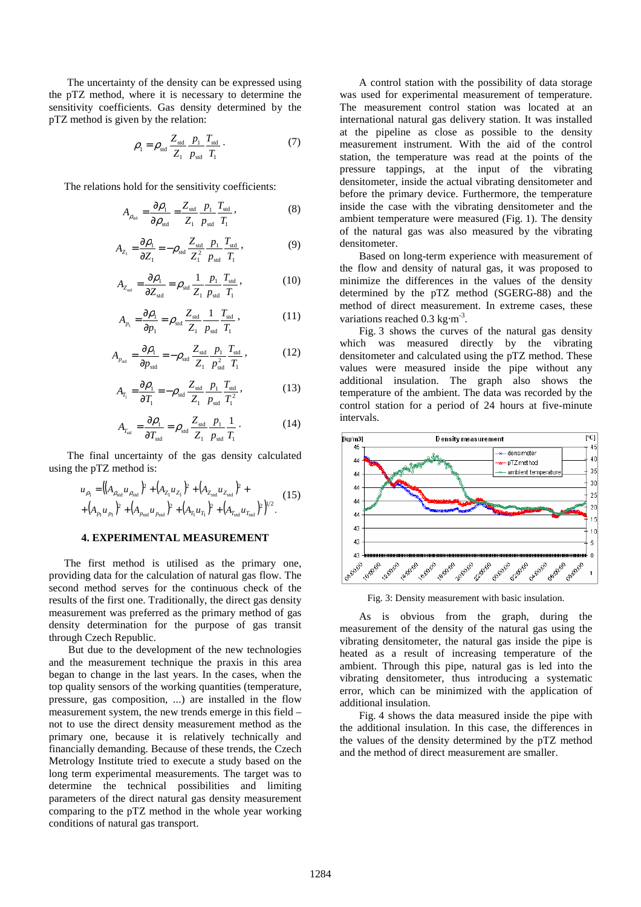The uncertainty of the density can be expressed using the pTZ method, where it is necessary to determine the sensitivity coefficients. Gas density determined by the pTZ method is given by the relation:

$$
\rho_1 = \rho_{\text{std}} \frac{Z_{\text{std}}}{Z_1} \frac{p_1}{p_{\text{std}}} \frac{T_{\text{std}}}{T_1} \,. \tag{7}
$$

The relations hold for the sensitivity coefficients:

$$
A_{\rho_{\rm sd}} = \frac{\partial \rho_1}{\partial \rho_{\rm std}} = \frac{Z_{\rm std}}{Z_1} \frac{p_1}{p_{\rm std}} \frac{T_{\rm std}}{T_1},
$$
(8)

$$
A_{Z_1} = \frac{\partial \rho_1}{\partial Z_1} = -\rho_{\text{std}} \frac{Z_{\text{std}}}{Z_1^2} \frac{p_1}{p_{\text{std}}} \frac{T_{\text{std}}}{T_1},
$$
(9)

$$
A_{Z_{\rm sd}} = \frac{\partial \rho_1}{\partial Z_{\rm std}} = \rho_{\rm std} \frac{1}{Z_1} \frac{p_1}{p_{\rm std}} \frac{T_{\rm std}}{T_1},\tag{10}
$$

$$
A_{p_1} = \frac{\partial \rho_1}{\partial p_1} = \rho_{\text{std}} \frac{Z_{\text{std}}}{Z_1} \frac{1}{p_{\text{std}}} \frac{T_{\text{std}}}{T_1},
$$
 (11)

$$
A_{p_{\rm sd}} = \frac{\partial \rho_1}{\partial p_{\rm sd}} = -\rho_{\rm std} \frac{Z_{\rm std}}{Z_1} \frac{p_1}{p_{\rm std}^2} \frac{T_{\rm std}}{T_1},\tag{12}
$$

$$
A_{T_1} = \frac{\partial \rho_1}{\partial T_1} = -\rho_{\text{std}} \frac{Z_{\text{std}}}{Z_1} \frac{p_1}{p_{\text{std}}} \frac{T_{\text{std}}}{T_1^2},
$$
(13)

$$
A_{T_{\rm sd}} = \frac{\partial \rho_1}{\partial T_{\rm std}} = \rho_{\rm std} \frac{Z_{\rm std}}{Z_1} \frac{p_1}{p_{\rm std}} \frac{1}{T_1} \,. \tag{14}
$$

The final uncertainty of the gas density calculated using the pTZ method is:

 $\lambda$ 

$$
u_{\rho_1} = ((A_{\rho_{\rm std}} u_{\rho_{\rm std}})^2 + (A_{Z_1} u_{Z_1})^2 + (A_{Z_{\rm std}} u_{Z_{\rm std}})^2 + (A_{\rho_{\rm std}} u_{\rho_{\rm std}})^2 + (A_{\rho_{\rm std}} u_{\rho_{\rm std}})^2 + (A_{T_{\rm std}} u_{\rho_{\rm std}})^2)^{1/2}.
$$
 (15)

## **4. EXPERIMENTAL MEASUREMENT**

The first method is utilised as the primary one, providing data for the calculation of natural gas flow. The second method serves for the continuous check of the results of the first one. Traditionally, the direct gas density measurement was preferred as the primary method of gas density determination for the purpose of gas transit through Czech Republic.

But due to the development of the new technologies and the measurement technique the praxis in this area began to change in the last years. In the cases, when the top quality sensors of the working quantities (temperature, pressure, gas composition, ...) are installed in the flow measurement system, the new trends emerge in this field – not to use the direct density measurement method as the primary one, because it is relatively technically and financially demanding. Because of these trends, the Czech Metrology Institute tried to execute a study based on the long term experimental measurements. The target was to determine the technical possibilities and limiting parameters of the direct natural gas density measurement comparing to the pTZ method in the whole year working conditions of natural gas transport.

A control station with the possibility of data storage was used for experimental measurement of temperature. The measurement control station was located at an international natural gas delivery station. It was installed at the pipeline as close as possible to the density measurement instrument. With the aid of the control station, the temperature was read at the points of the pressure tappings, at the input of the vibrating densitometer, inside the actual vibrating densitometer and before the primary device. Furthermore, the temperature inside the case with the vibrating densitometer and the ambient temperature were measured (Fig. 1). The density of the natural gas was also measured by the vibrating densitometer.

Based on long-term experience with measurement of the flow and density of natural gas, it was proposed to minimize the differences in the values of the density determined by the pTZ method (SGERG-88) and the method of direct measurement. In extreme cases, these variations reached  $0.3 \text{ kg} \cdot \text{m}^{-3}$ .

Fig. 3 shows the curves of the natural gas density which was measured directly by the vibrating densitometer and calculated using the pTZ method. These values were measured inside the pipe without any additional insulation. The graph also shows the temperature of the ambient. The data was recorded by the control station for a period of 24 hours at five-minute intervals.



Fig. 3: Density measurement with basic insulation.

As is obvious from the graph, during the measurement of the density of the natural gas using the vibrating densitometer, the natural gas inside the pipe is heated as a result of increasing temperature of the ambient. Through this pipe, natural gas is led into the vibrating densitometer, thus introducing a systematic error, which can be minimized with the application of additional insulation.

Fig. 4 shows the data measured inside the pipe with the additional insulation. In this case, the differences in the values of the density determined by the pTZ method and the method of direct measurement are smaller.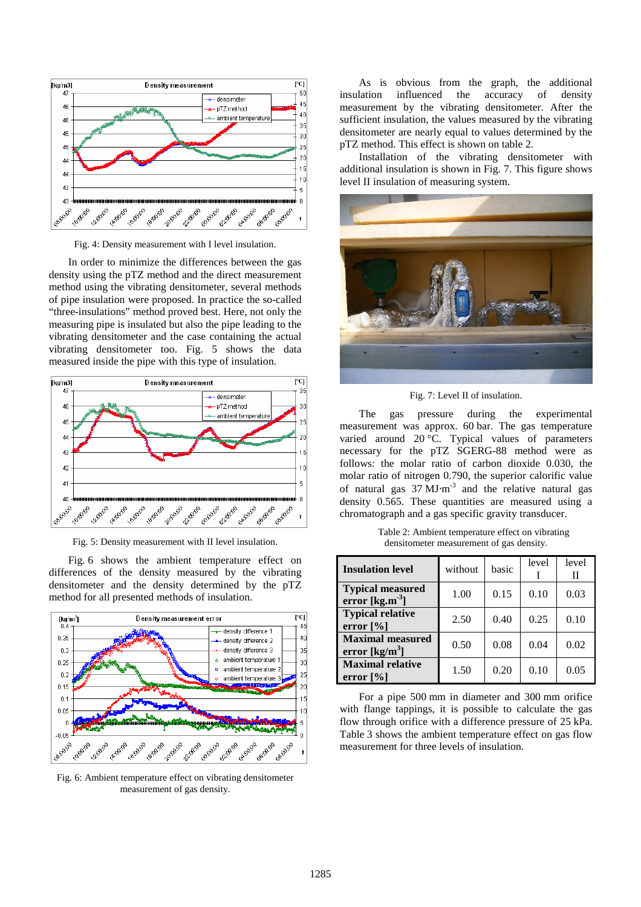

Fig. 4: Density measurement with I level insulation.

In order to minimize the differences between the gas density using the pTZ method and the direct measurement method using the vibrating densitometer, several methods of pipe insulation were proposed. In practice the so-called "three-insulations" method proved best. Here, not only the measuring pipe is insulated but also the pipe leading to the vibrating densitometer and the case containing the actual vibrating densitometer too. Fig. 5 shows the data measured inside the pipe with this type of insulation.



Fig. 5: Density measurement with II level insulation.

Fig. 6 shows the ambient temperature effect on differences of the density measured by the vibrating densitometer and the density determined by the pTZ method for all presented methods of insulation.



Fig. 6: Ambient temperature effect on vibrating densitometer measurement of gas density.

As is obvious from the graph, the additional insulation influenced the accuracy of density measurement by the vibrating densitometer. After the sufficient insulation, the values measured by the vibrating densitometer are nearly equal to values determined by the pTZ method. This effect is shown on table 2.

Installation of the vibrating densitometer with additional insulation is shown in Fig. 7. This figure shows level II insulation of measuring system.



Fig. 7: Level II of insulation.

The gas pressure during the experimental measurement was approx. 60 bar. The gas temperature varied around 20 °C. Typical values of parameters necessary for the pTZ SGERG-88 method were as follows: the molar ratio of carbon dioxide 0.030, the molar ratio of nitrogen 0.790, the superior calorific value of natural gas  $37 \text{ MJ} \cdot \text{m}^{-3}$  and the relative natural gas density 0.565. These quantities are measured using a chromatograph and a gas specific gravity transducer.

Table 2: Ambient temperature effect on vibrating densitometer measurement of gas density.

| <b>Insulation level</b>                                       | without | basic | level | level<br>Н |
|---------------------------------------------------------------|---------|-------|-------|------------|
| <b>Typical measured</b><br>error $[kg.m^3]$                   | 1.00    | 0.15  | 0.10  | 0.03       |
| <b>Typical relative</b><br>error $\lceil\% \rceil$            | 2.50    | 0.40  | 0.25  | 0.10       |
| <b>Maximal measured</b><br>error $\left[\text{kg/m}^3\right]$ | 0.50    | 0.08  | 0.04  | 0.02       |
| <b>Maximal relative</b><br>error $[\%]$                       | 1.50    | 0.20  | 0.10  | 0.05       |

For a pipe 500 mm in diameter and 300 mm orifice with flange tappings, it is possible to calculate the gas flow through orifice with a difference pressure of 25 kPa. Table 3 shows the ambient temperature effect on gas flow measurement for three levels of insulation.